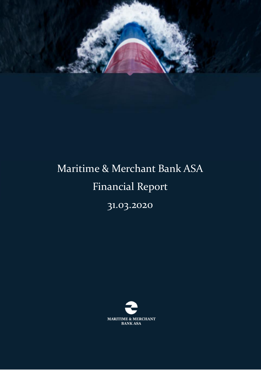

# Maritime & Merchant Bank ASA Financial Report

31.03.2020

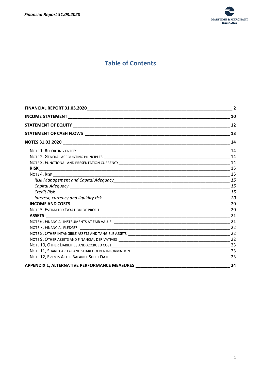

# **Table of Contents**

|                                                                                  | 10 |
|----------------------------------------------------------------------------------|----|
|                                                                                  |    |
|                                                                                  |    |
|                                                                                  |    |
|                                                                                  |    |
|                                                                                  |    |
|                                                                                  |    |
|                                                                                  |    |
|                                                                                  | 15 |
|                                                                                  |    |
|                                                                                  |    |
|                                                                                  |    |
|                                                                                  |    |
|                                                                                  |    |
|                                                                                  |    |
|                                                                                  |    |
|                                                                                  |    |
|                                                                                  |    |
|                                                                                  |    |
|                                                                                  |    |
|                                                                                  |    |
|                                                                                  |    |
|                                                                                  | 23 |
| APPENDIX 1, ALTERNATIVE PERFORMANCE MEASURES ___________________________________ | 24 |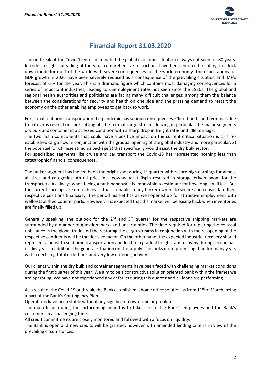

# **Financial Report 31.03.2020**

<span id="page-2-0"></span>The outbreak of the Covid-19 virus dominated the global economic situation in ways not seen for 80 years. In order to fight spreading of the virus comprehensive restrictions have been enforced resulting in a lock down mode for most of the world with severe consequences for the world economy. The expectations for GDP growth in 2020 have been severely reduced as a consequence of the prevailing situation and IMF's forecast of -3% for the year. This is a dramatic figure which contains most damaging consequences for a series of important industries, leading to unemployment rates not seen since the 1930s. The global and regional health authorities and politicians are facing many difficult challenges; among them the balance between the considerations for security and health on one side and the pressing demand to restart the economy on the other enabling employees to get back to work.

For global seaborne transportation the pandemic has serious consequences. Closed ports and terminals due to anti-virus restrictions are cutting off the normal cargo streams leaving in particular the major segments dry bulk and container in a stressed condition with a sharp drop in freight rates and idle tonnage. The two main components that could have a positive impact on the current critical situation is 1) a reestablished cargo flow in conjunction with the gradual opening of the global industry and more particular; 2) the potential for Chinese stimulus package(s) that specifically would assist the dry bulk sector. For specialized segments like cruise and car transport the Covid-19 has represented nothing less than catastrophic financial consequences.

The tanker segment has indeed been the bright spot during  $1<sup>st</sup>$  quarter with record high earnings for almost all sizes and categories. An oil price in a downwards tailspin resulted in storage driven boom for the transporters. As always when facing a tank-bonanza it is impossible to estimate for how long it will last. But the current earnings are on such levels that it enables many tanker owners to secure and consolidate their respective positions financially. The period market has as well opened up for attractive employment with well-established counter parts. However, it is expected that the market will be easing back when inventories are finally filled up.

Generally speaking, the outlook for the  $2^{nd}$  and  $3^{rd}$  quarter for the respective shipping markets are surrounded by a number of question marks and uncertainties. The time required for repairing the colossal unbalance in the global trade and the restoring the cargo streams in conjunction with the re-opening of the respective continents will be the decisive factor. On the other hand, the expected industrial recovery should represent a boost to seaborne transportation and lead to a gradual freight rate recovery during second half of this year. In addition, the general situation on the supply side looks more promising than for many years with a declining total orderbook and very low ordering activity.

Our clients within the dry bulk and container segments have been faced with challenging market conditions during the first quarter of this year. We aim to be a constructive solution oriented bank within the frames we are operating. We have not experienced any defaults during this quarter and all loans are performing.

As a result of the Covid-19 outbreak, the Bank established a home office solution as from 11<sup>th</sup> of March, being a part of the Bank's Contingency Plan.

Operations have been stable without any significant down-time or problems.

The main focus during the forthcoming period is to take care of the Bank's employees and the Bank's customers in a challenging time.

All credit commitments are closely monitored and followed with a focus on liquidity.

The Bank is open and new credits will be granted, however with amended lending criteria in view of the prevailing circumstances.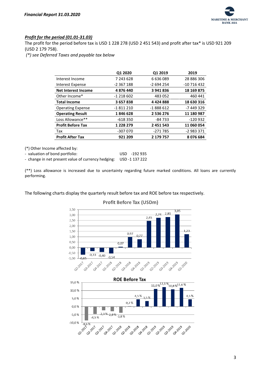

#### *Profit for the period (01.01-31.03)*

The profit for the period before tax is USD 1 228 278 (USD 2 451 543) and profit after tax\* is USD 921 209 (USD 2 179 758).

*(\*) see Deferred Taxes and payable tax below*

|                            | Q1 2020       | Q1 2019    | 2019        |
|----------------------------|---------------|------------|-------------|
| Interest Income            | 7 243 628     | 6636089    | 28 886 306  |
| Interest Expense           | -2 367 188    | $-2694254$ | -10 716 432 |
| <b>Net Interest Income</b> | 4876440       | 3941836    | 18 169 875  |
| Other Income*              | $-1218602$    | 483 052    | 460 441     |
| <b>Total Income</b>        | 3657838       | 4424888    | 18 630 316  |
| <b>Operating Expense</b>   | -1811210      | $-1888612$ | -7 449 329  |
| <b>Operating Result</b>    | 1846628       | 2 536 276  | 11 180 987  |
| Loss Allowance**           | -618 350      | -84 733    | -120 932    |
| <b>Profit Before Tax</b>   | 1 2 2 2 2 7 9 | 2 451 543  | 11 060 054  |
| Tax                        | -307 070      | -271 785   | $-2983371$  |
| <b>Profit After Tax</b>    | 921 209       | 2 179 757  | 8076684     |

(\*) Other Income affected by:

- valuation of bond portfolio: USD -192 935 - change in net present value of currency hedging: USD -1 137 222

(\*\*) Loss allowance is increased due to uncertainty regarding future marked conditions. All loans are currently performing.

The following charts display the quarterly result before tax and ROE before tax respectively.



#### **Profit Before Tax (USDm)**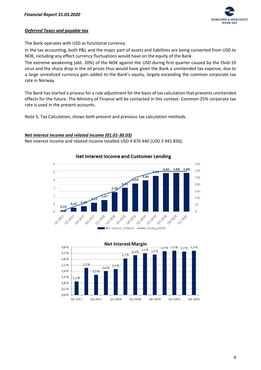

#### *Deferred Taxes and payable tax*

The Bank operates with USD as functional currency.

In the tax accounting, both P&L and the major part of assets and liabilities are being converted from USD to NOK, including any effect currency fluctuations would have on the equity of the Bank.

The extreme weakening (abt. 20%) of the NOK against the USD during first quarter caused by the Ovid-19 virus and the sharp drop in the oil prices thus would have given the Bank a unintended tax expense, due to a large unrealized currency gain added to the Bank's equity, largely exceeding the common corporate tax rate in Norway.

The Bank has started a process for a rule adjustment for the basis of tax calculation that prevents unintended effects for the future. The Ministry of Finance will be contacted in this context. Common 25% corporate tax rate is used in the present accounts.

Note 5, Tax Calculation, shows both present and previous tax calculation methods.

#### *Net interest income and related income (01.01-30.03)*

Net interest income and related income totalled USD 4 876 440 (USD 3 941 836).



**Net Interest Income and Customer Lending** 

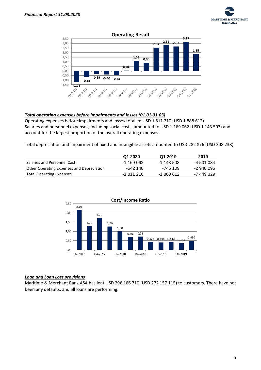



#### **Operating Result**

#### *Total operating expenses before impairments and losses (01.01-31.03)*

Operating expenses before impairments and losses totalled USD 1 811 210 (USD 1 888 612). Salaries and personnel expenses, including social costs, amounted to USD 1 169 062 (USD 1 143 503) and account for the largest proportion of the overall operating expenses.

Total depreciation and impairment of fixed and intangible assets amounted to USD 282 876 (USD 308 238).

|                                           | Q1 2020    | Q1 2019    | 2019       |
|-------------------------------------------|------------|------------|------------|
| Salaries and Personnel Cost               | -1 169 062 | -1 143 503 | -4 501 034 |
| Other Operating Expenses and Depreciation | -642 148   | -745 109   | -2 948 296 |
| <b>Total Operating Expenses</b>           | -1 811 210 | -1 888 612 | -7 449 329 |



#### *Loan and Loan Loss provisions*

Maritime & Merchant Bank ASA has lent USD 296 166 710 (USD 272 157 115) to customers. There have not been any defaults, and all loans are performing.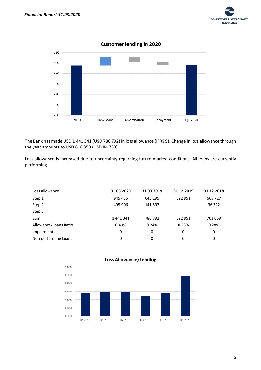



The Bank has made USD 1 441 341 (USD 786 792) in loss allowance (IFRS 9). Change in loss allowance through the year amounts to USD 618 350 (USD 84 733).

Loss allowance is increased due to uncertainty regarding future marked conditions. All loans are currently performing.

| Loss allowance        | 31.03.2020 | 31.03.2019 | 31.12.2019 | 31.12.2018 |
|-----------------------|------------|------------|------------|------------|
| Step 1                | 945 435    | 645 195    | 822 991    | 665 727    |
| Step 2                | 495 906    | 141 597    |            | 36 322     |
| Step 3                |            |            |            |            |
| Sum                   | 1441341    | 786 792    | 822 991    | 702 059    |
| Allowance/Loans Ratio | 0.49%      | 0.24%      | 0.28%      | 0.28%      |
| <b>Impairments</b>    | 0          | 0          | 0          | 0          |
| Non performing Loans  | 0          | 0          | 0          | 0          |



#### **Loss Allowance/Lending**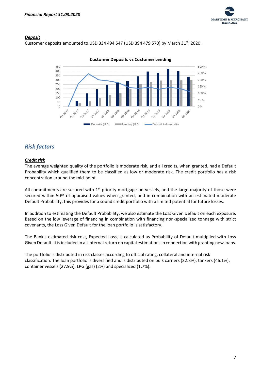

#### *Deposit*

Customer deposits amounted to USD 334 494 547 (USD 394 479 570) by March 31st, 2020.



#### **Customer Deposits vs Customer Lending**

# *Risk factors*

#### *Credit risk*

The average weighted quality of the portfolio is moderate risk, and all credits, when granted, had a Default Probability which qualified them to be classified as low or moderate risk. The credit portfolio has a risk concentration around the mid-point.

All commitments are secured with  $1<sup>st</sup>$  priority mortgage on vessels, and the large majority of those were secured within 50% of appraised values when granted, and in combination with an estimated moderate Default Probability, this provides for a sound credit portfolio with a limited potential for future losses.

In addition to estimating the Default Probability, we also estimate the Loss Given Default on each exposure. Based on the low leverage of financing in combination with financing non-specialized tonnage with strict covenants, the Loss Given Default for the loan portfolio is satisfactory.

The Bank's estimated risk cost, Expected Loss, is calculated as Probability of Default multiplied with Loss Given Default. It is included in all internal return on capital estimations in connection with granting new loans.

The portfolio is distributed in risk classes according to official rating, collateral and internal risk classification. The loan portfolio is diversified and is distributed on bulk carriers (22.3%), tankers (46.1%), container vessels (27.9%), LPG (gas) (2%) and specialized (1.7%).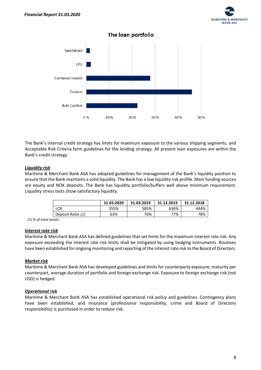



The Bank's internal credit strategy has limits for maximum exposure to the various shipping segments, and Acceptable Risk Criteria form guidelines for the lending strategy. All present loan exposures are within the Bank's credit strategy.

#### *Liquidity risk*

Maritime & Merchant Bank ASA has adopted guidelines for management of the Bank's liquidity position to ensure that the Bank maintains a solid liquidity. The Bank has a low liquidity risk profile. Main funding sources are equity and NOK deposits. The Bank has liquidity portfolio/buffers well above minimum requirement. Liquidity stress tests show satisfactory liquidity.

|                   | 31.03.2020 | 31.03.2019 | 31.12.2019 | 31.12.2018 |
|-------------------|------------|------------|------------|------------|
| LCR               | 355%       | 585%       | 636%       | 444%       |
| Deposit Ratio (1) | 63%        | 76%        | 77%        | 78%        |

 *(1) % of total assets*

#### *Interest rate risk*

Maritime & Merchant Bank ASA has defined guidelines that set limits for the maximum interest rate risk. Any exposure exceeding the interest rate risk limits shall be mitigated by using hedging instruments. Routines have been established for ongoing monitoring and reporting of the interest rate risk to the Board of Directors.

#### *Market risk*

Maritime & Merchant Bank ASA has developed guidelines and limits for counterparty exposure, maturity per counterpart, average duration of portfolio and foreign exchange risk. Exposure to foreign exchange risk (not USD) is hedged.

#### *Operational risk*

Maritime & Merchant Bank ASA has established operational risk policy and guidelines. Contingency plans have been established, and insurance (professional responsibility, crime and Board of Directors responsibility) is purchased in order to reduce risk.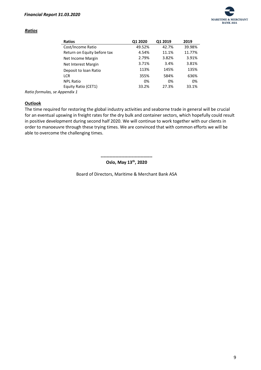

#### *Ratios*

| <b>Ratios</b>               | Q1 2020 | Q1 2019 | 2019   |
|-----------------------------|---------|---------|--------|
| Cost/Income Ratio           | 49.52%  | 42.7%   | 39.98% |
| Return on Equity before tax | 4.54%   | 11.1%   | 11.77% |
| Net Income Margin           | 2.79%   | 3.82%   | 3.91%  |
| Net Interest Margin         | 3.71%   | 3.4%    | 3.81%  |
| Deposit to loan Ratio       | 113%    | 145%    | 135%   |
| <b>LCR</b>                  | 355%    | 584%    | 636%   |
| <b>NPL Ratio</b>            | 0%      | 0%      | 0%     |
| Equity Ratio (CET1)         | 33.2%   | 27.3%   | 33.1%  |
| nnondiv 1                   |         |         |        |

*Ratio formulas, se Appendix 1*

#### **Outlook**

The time required for restoring the global industry activities and seaborne trade in general will be crucial for an eventual upswing in freight rates for the dry bulk and container sectors, which hopefully could result in positive development during second half 2020. We will continue to work together with our clients in order to manoeuvre through these trying times. We are convinced that with common efforts we will be able to overcome the challenging times.

> **----------------------------------- Oslo, May 13th, 2020**

Board of Directors, Maritime & Merchant Bank ASA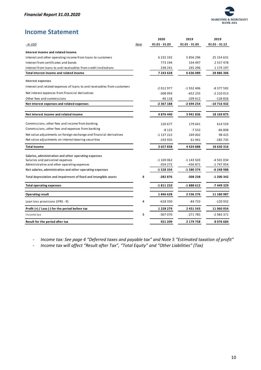

# <span id="page-10-0"></span>**Income Statement**

|                                                                          |      | 2020            | 2019          | 2019            |
|--------------------------------------------------------------------------|------|-----------------|---------------|-----------------|
| <u>- In USD</u>                                                          | Note | $01.01 - 31.03$ | 01.01 - 31.03 | $01.01 - 31.12$ |
| Interest income and related income                                       |      |                 |               |                 |
| Interest and other operating income from loans to customers              |      | 6 2 3 2 1 9 2   | 5856296       | 25 154 631      |
| Interest from certificates and bonds                                     |      | 773 194         | 534 497       | 2 5 5 7 4 7 8   |
| Interest from loans to and receivables from credit institutions          |      | 238 241         | 245 296       | 1 174 197       |
| Total interest income and related income                                 |      | 7 243 628       | 6636089       | 28 886 306      |
| <b>Interest expenses</b>                                                 |      |                 |               |                 |
| Interest and related expenses of loans to and receivables from customers |      | $-2012977$      | -1932406      | -8 377 592      |
| Net interest expenses from financial derivatives                         |      | $-308093$       | -652 235      | $-2210013$      |
| Other fees and commissions                                               |      | -46 118         | -109 612      | $-128826$       |
| Net interest expenses and related expenses                               |      | -2 367 188      | -2 694 254    | -10 716 432     |
| Net interest income and related income                                   |      | 4876440         | 3941836       | 18 169 875      |
|                                                                          |      |                 |               |                 |
| Commissions, other fees and income from banking                          |      | 120 677         | 179 641       | 614 559         |
| Commissions, other fees and expenses from banking                        |      | $-8122$         | $-7532$       | $-66808$        |
| Net value adjustments on foreign exchange and financial derivatives      |      | $-1137222$      | 249 002       | 98 4 25         |
| Net value adjustments on interest-bearing securities                     |      | -193 935        | 61941         | -185 735        |
| <b>Total income</b>                                                      |      | 3657838         | 4424888       | 18 630 316      |
| Salaries, administration and other operating expenses                    |      |                 |               |                 |
| Salaries and personnel expenses                                          |      | $-1169062$      | -1 143 503    | -4 501 034      |
| Administrative and other operating expenses                              |      | -359 272        | -436 871      | -1 747 954      |
| Net salaries, administration and other operating expenses                |      | -1 528 334      | -1 580 374    | -6 248 988      |
| Total depreciation and impairment of fixed and intangible assets         | 8    | -282 876        | -308 238      | -1 200 342      |
| <b>Total operating expenses</b>                                          |      | -1811210        | $-1888612$    | -7 449 329      |
| <b>Operating result</b>                                                  |      | 1846628         | 2 536 276     | 11 180 987      |
| Loan loss provisions (IFRS - 9)                                          | 4    | $-618350$       | -84 733       | $-120932$       |
| Profit $(+)$ / Loss $(-)$ for the period before tax                      |      | 1 2 2 8 2 7 9   | 2 451 543     | 11 060 054      |
| Income tax                                                               | 5    | -307 070        | -271 785      | -2 983 371      |
| Result for the period after tax                                          |      | 921 209         | 2 179 758     | 8076684         |

- *Income tax: See page 4 "Deferred taxes and payable tax" and Note 5 "Estimated taxation of profit"*

- *Income tax will affect "Result after Tax", "Total Equity" and "Other Liabilities" (Tax)*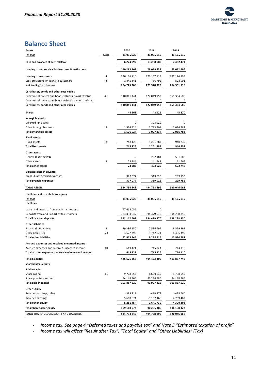

# **Balance Sheet**

| <b>Assets</b>                                        |      | 2020          | 2019        | 2019        |
|------------------------------------------------------|------|---------------|-------------|-------------|
| <u>- In USD</u>                                      | Note | 31.03.2020    | 31.03.2019  | 31.12.2019  |
| Cash and balances at Central Bank                    |      | 6 224 092     | 13 258 589  | 7432474     |
| Lending to and receivables from credit institutions  |      | 120 283 962   | 78 079 533  | 63 052 606  |
| Lending to customers                                 | 4    | 296 166 710   | 272 157 115 | 295 124 509 |
| Loss provisions on loans to customers                | 4    | -1 441 341    | -786 792    | -822 991    |
| Net lending to cutomers                              |      | 294 725 369   | 271 370 323 | 294 301 518 |
| Certificates, bonds and other receivables            |      |               |             |             |
| Commercial papers and bonds valued at market value   | 4,6  | 110 841 141   | 127 049 952 | 151 334 685 |
| Commercial papers and bonds valued at amortised cost |      | 0             | 0           | 0           |
| Certificates, bonds and other receivables            |      | 110 841 141   | 127 049 952 | 151 334 685 |
|                                                      |      |               |             |             |
| Shares                                               |      | 44 268        | 48 425      | 45 270      |
| Intangible assets                                    |      |               |             |             |
| Deferred tax assets                                  |      | 0             | 303 929     | 0           |
| Other intangible assets                              | 8    | 1 526 924     | 2 723 409   | 2 036 782   |
| <b>Total intangible assets</b>                       |      | 1526924       | 3 027 337   | 2036782     |
| <b>Fixed assets</b>                                  |      |               |             |             |
| Fixed assets                                         | 8    | 748 125       | 1 201 783   | 940 232     |
| <b>Total fixed assets</b>                            |      | 748 125       | 1 201 783   | 940 232     |
| Other assets                                         |      |               |             |             |
| Financial derivatives                                |      | 0             | 262 481     | 581080      |
| Other assets                                         | 9    | 23 286        | 141 447     | 21 665      |
| <b>Total other assets</b>                            |      | 23 286        | 403 929     | 602 746     |
| <b>Expenses paid in advance</b>                      |      |               |             |             |
| Prepaid, not accrued expenses                        |      | 377 077       | 319 026     | 299 755     |
| <b>Total prepaid expenses</b>                        |      | 377 077       | 319 026     | 299 755     |
| <b>TOTAL ASSETS</b>                                  |      | 534 794 243   | 494 758 896 | 520 046 068 |
|                                                      |      |               |             |             |
| Liabilities and shareholders equity                  |      |               |             |             |
| - In USD<br>Liabilities                              |      | 31.03.2020    | 31.03.2019  | 31.12.2019  |
| Loans and deposits from credit institutions          |      | 47 618 055    | 0           |             |
| Deposits from and liabilities to customers           |      | 334 494 547   | 394 479 570 | 398 238 850 |
| <b>Total loans and deposits</b>                      |      | 382 112 602   | 394 479 570 | 398 238 850 |
| <b>Other liabilities</b>                             |      |               |             |             |
| Financial derivatives                                | 9    | 39 386 150    | 7 536 492   | 8 579 392   |
| Other liabilities                                    | 5,1  | 3 5 2 7 3 9 5 | 1742024     | 4 355 395   |
| <b>Total other liabilities</b>                       |      | 42 913 545    | 9 278 516   | 12 934 787  |
| Accrued expenses and received unearned income        |      |               |             |             |
| Accrued expenses and received unearned income        | 10   | 649 121       | 715 324     | 714 110     |
| Total accrued expenses and received unearned income  |      | 649 121       | 715 324     | 714 110     |
| <b>Total Liabilities</b>                             |      | 425 675 268   | 404 473 409 | 411 887 746 |
| <b>Shareholders equity</b>                           |      |               |             |             |
| Paid-in capital                                      |      |               |             |             |
| Share capital                                        | 11   | 9708655       | 8 630 639   | 9708655     |
| Share premium account                                |      | 94 148 865    | 83 296 586  | 94 148 865  |
| Total paid-in capital                                |      | 103 857 520   | 91 927 225  | 103 857 520 |
| <b>Other Equity</b>                                  |      |               |             |             |
| Retained earnings, other                             |      | -399 217      | -484 272    | -438 660    |
| Retained earnings                                    |      | 5 660 671     | -1 157 466  | 4 739 462   |
| <b>Total other equity</b>                            |      | 5 261 454     | -1 641 739  | 4 300 802   |
| <b>Total shareholder equity</b>                      |      | 109 118 974   | 90 285 486  | 108 158 322 |
| TOTAL SHAREHOLDERS EQUITY AND LIABILITIES            |      | 534 794 243   | 494 758 896 | 520 046 068 |

- *Income tax: See page 4 "Deferred taxes and payable tax" and Note 5 "Estimated taxation of profit"*

- *Income tax will affect "Result after Tax", "Total Equity" and "Other Liabilities" (Tax)*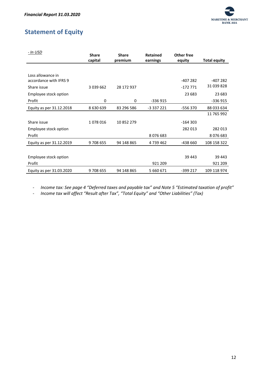

# <span id="page-12-0"></span>**Statement of Equity**

| - In USD                 | <b>Share</b><br>capital | <b>Share</b><br>premium | <b>Retained</b><br>earnings | Other free<br>equity | <b>Total equity</b> |
|--------------------------|-------------------------|-------------------------|-----------------------------|----------------------|---------------------|
|                          |                         |                         |                             |                      |                     |
| Loss allowance in        |                         |                         |                             |                      |                     |
| accordance with IFRS 9   |                         |                         |                             | -407 282             | -407 282            |
| Share issue              | 3 0 3 9 6 6 2           | 28 172 937              |                             | $-172771$            | 31 039 828          |
| Employee stock option    |                         |                         |                             | 23 683               | 23 683              |
| Profit                   | 0                       | 0                       | $-336915$                   |                      | -336 915            |
| Equity as per 31.12.2018 | 8630639                 | 83 296 586              | $-3337221$                  | $-556370$            | 88 033 634          |
|                          |                         |                         |                             |                      | 11 765 992          |
| Share issue              | 1078016                 | 10 852 279              |                             | $-164303$            |                     |
| Employee stock option    |                         |                         |                             | 282 013              | 282 013             |
| Profit                   |                         |                         | 8076683                     |                      | 8076683             |
| Equity as per 31.12.2019 | 9708655                 | 94 148 865              | 4 739 462                   | -438 660             | 108 158 322         |
|                          |                         |                         |                             |                      |                     |
| Employee stock option    |                         |                         |                             | 39 443               | 39 443              |
| Profit                   |                         |                         | 921 209                     |                      | 921 209             |
| Equity as per 31.03.2020 | 9708655                 | 94 148 865              | 5 660 671                   | -399 217             | 109 118 974         |

- *Income tax: See page 4 "Deferred taxes and payable tax" and Note 5 "Estimated taxation of profit"*

- *Income tax will affect "Result after Tax", "Total Equity" and "Other Liabilities" (Tax)*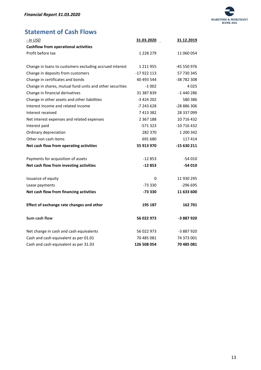

# <span id="page-13-0"></span>**Statement of Cash Flows**

| - In USD                                                 | 31.03.2020    | 31.12.2019  |
|----------------------------------------------------------|---------------|-------------|
| <b>Cashflow from operational activities</b>              |               |             |
| Profit before tax                                        | 1 228 279     | 11 060 054  |
|                                                          |               |             |
| Change in loans to customers excluding accrued interest  | 1 2 1 9 5 5   | -45 550 976 |
| Change in deposits from customers                        | -17 922 113   | 57 730 345  |
| Change in certificates and bonds                         | 40 493 544    | -38 782 308 |
| Change in shares, mutual fund units and other securities | $-1002$       | 4025        |
| Change in financial derivatives                          | 31 387 839    | -1 440 286  |
| Change in other assets and other liabilities             | $-3424202$    | 580 386     |
| Interest income and related income                       | -7 243 628    | -28 886 306 |
| Interest received                                        | 7 413 382     | 28 337 099  |
| Net interest expenses and related expenses               | 2 3 6 7 1 8 8 | 10 716 432  |
| Interest paid                                            | $-571323$     | -10 716 432 |
| Ordinary depreciation                                    | 282 370       | 1 200 342   |
| Other non cash items                                     | 691 680       | 117414      |
| Net cash flow from operating activities                  | 55 913 970    | -15 630 211 |
| Payments for acquisition of assets                       | $-12853$      | -54 010     |
| Net cash flow from investing activities                  | -12853        | $-54010$    |
| Issuance of equity                                       | 0             | 11 930 295  |
| Lease payments                                           | $-73330$      | $-296695$   |
| Net cash flow from financing activities                  | -73 330       | 11 633 600  |
|                                                          |               |             |
| Effect of exchange rate changes and other                | 195 187       | 162 701     |
| Sum cash flow                                            | 56 022 973    | -3 887 920  |
| Net change in cash and cash equivalents                  | 56 022 973    | -3 887 920  |
| Cash and cash equivalent as per 01.01                    | 70 485 081    | 74 373 001  |
| Cash and cash equivalent as per 31.03                    | 126 508 054   | 70 485 081  |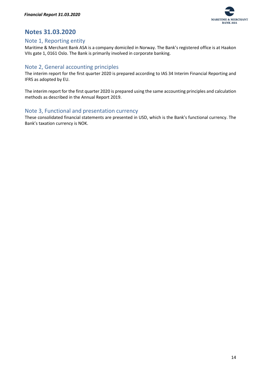

# <span id="page-14-0"></span>**Notes 31.03.2020**

## <span id="page-14-1"></span>Note 1, Reporting entity

Maritime & Merchant Bank ASA is a company domiciled in Norway. The Bank's registered office is at Haakon VIIs gate 1, 0161 Oslo. The Bank is primarily involved in corporate banking.

# <span id="page-14-2"></span>Note 2, General accounting principles

The interim report for the first quarter 2020 is prepared according to IAS 34 Interim Financial Reporting and IFRS as adopted by EU.

The interim report for the first quarter 2020 is prepared using the same accounting principles and calculation methods as described in the Annual Report 2019.

# <span id="page-14-3"></span>Note 3, Functional and presentation currency

These consolidated financial statements are presented in USD, which is the Bank's functional currency. The Bank's taxation currency is NOK.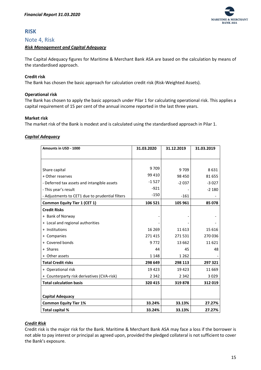

# <span id="page-15-0"></span>**RISK**

#### <span id="page-15-1"></span>Note 4, Risk

#### <span id="page-15-2"></span>*Risk Management and Capital Adequacy*

The Capital Adequacy figures for Maritime & Merchant Bank ASA are based on the calculation by means of the standardised approach.

#### **Credit risk**

The Bank has chosen the basic approach for calculation credit risk (Risk-Weighted Assets).

#### **Operational risk**

The Bank has chosen to apply the basic approach under Pilar 1 for calculating operational risk. This applies a capital requirement of 15 per cent of the annual income reported in the last three years.

#### **Market risk**

The market risk of the Bank is modest and is calculated using the standardised approach in Pilar 1.

#### <span id="page-15-3"></span>*Capital Adequacy*

| Amounts in USD - 1000                           | 31.03.2020 | 31.12.2019 | 31.03.2019 |
|-------------------------------------------------|------------|------------|------------|
|                                                 |            |            |            |
|                                                 |            |            |            |
| Share capital                                   | 9709       | 9709       | 8631       |
| + Other reserves                                | 99 410     | 98 450     | 81 655     |
| - Deferred tax assets and intangible assets     | $-1527$    | $-2037$    | $-3027$    |
| - This year's result                            | $-921$     |            | $-2180$    |
| - Adjustments to CET1 due to prudential filters | $-150$     | $-161$     |            |
| <b>Common Equity Tier 1 (CET 1)</b>             | 106 521    | 105 961    | 85 078     |
| <b>Credit Risks</b>                             |            |            |            |
| + Bank of Norway                                |            |            |            |
| + Local and regional authorities                |            |            |            |
| + Institutions                                  | 16 269     | 11 6 13    | 15 6 16    |
| + Companies                                     | 271 415    | 271531     | 270 036    |
| + Covered bonds                                 | 9772       | 13 662     | 11 6 21    |
| + Shares                                        | 44         | 45         | 48         |
| + Other assets                                  | 1 1 4 8    | 1 2 6 2    |            |
| <b>Total Credit risks</b>                       | 298 649    | 298 113    | 297 321    |
| + Operational risk                              | 19423      | 19423      | 11 669     |
| + Counterparty risk derivatives (CVA-risk)      | 2 3 4 2    | 2 3 4 2    | 3029       |
| <b>Total calculation basis</b>                  | 320 415    | 319878     | 312 019    |
|                                                 |            |            |            |
| <b>Capital Adequacy</b>                         |            |            |            |
| <b>Common Equity Tier 1%</b>                    | 33.24%     | 33.13%     | 27.27%     |
| Total capital %                                 | 33.24%     | 33.13%     | 27.27%     |

#### <span id="page-15-4"></span>*Credit Risk*

Credit risk is the major risk for the Bank. Maritime & Merchant Bank ASA may face a loss if the borrower is not able to pay interest or principal as agreed upon, provided the pledged collateral is not sufficient to cover the Bank's exposure.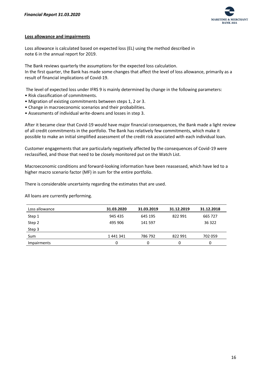

#### **Loss allowance and impairments**

Loss allowance is calculated based on expected loss (EL) using the method described in note 6 in the annual report for 2019.

The Bank reviews quarterly the assumptions for the expected loss calculation. In the first quarter, the Bank has made some changes that affect the level of loss allowance, primarily as a result of financial implications of Covid-19.

The level of expected loss under IFRS 9 is mainly determined by change in the following parameters:

- Risk classification of commitments.
- Migration of existing commitments between steps 1, 2 or 3.
- Change in macroeconomic scenarios and their probabilities.
- Assessments of individual write-downs and losses in step 3.

After it became clear that Covid-19 would have major financial consequences, the Bank made a light review of all credit commitments in the portfolio. The Bank has relatively few commitments, which make it possible to make an initial simplified assessment of the credit risk associated with each individual loan.

Customer engagements that are particularly negatively affected by the consequences of Covid-19 were reclassified, and those that need to be closely monitored put on the Watch List.

Macroeconomic conditions and forward-looking information have been reassessed, which have led to a higher macro scenario factor (MF) in sum for the entire portfolio.

There is considerable uncertainty regarding the estimates that are used.

All loans are currently performing.

| Loss allowance | 31.03.2020 | 31.03.2019 | 31.12.2019 | 31.12.2018 |
|----------------|------------|------------|------------|------------|
| Step 1         | 945 435    | 645 195    | 822991     | 665 727    |
| Step 2         | 495 906    | 141 597    |            | 36 322     |
| Step 3         |            |            |            |            |
| Sum            | 1441341    | 786 792    | 822 991    | 702 059    |
| Impairments    | 0          | 0          | 0          |            |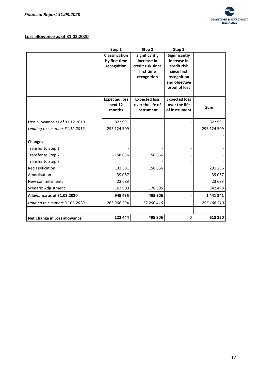

## **Loss allowance as of 31.03.2020**

|                                 | Step 1               | Step 2                    | Step 3                     |             |
|---------------------------------|----------------------|---------------------------|----------------------------|-------------|
|                                 | Classification       | Significantly             | Significantly              |             |
|                                 | by first time        | increase in               | increase in                |             |
|                                 | recognition          | credit risk since         | credit risk                |             |
|                                 |                      | first time<br>recognition | since first<br>recognition |             |
|                                 |                      |                           | and objective              |             |
|                                 |                      |                           | proof of loss              |             |
|                                 |                      |                           |                            |             |
|                                 | <b>Expected loss</b> | <b>Expected loss</b>      | <b>Expected loss</b>       |             |
|                                 | next 12              | over the life of          | over the life              | Sum         |
|                                 | months               | instrument                | of instrument              |             |
| Loss allowance as of 31.12.2019 | 822 991              |                           |                            | 822 991     |
| Lending to custmers 31.12.2019  | 295 124 509          |                           |                            | 295 124 509 |
|                                 |                      |                           |                            |             |
| <b>Changes</b>                  |                      |                           |                            |             |
| Transfer to Step 1              |                      |                           |                            |             |
| Transfer to Step 2              | $-158656$            | 158 656                   |                            |             |
| Transfer to Step 3              |                      |                           |                            |             |
| Reclassification                | 132 581              | 158 656                   |                            | 291 236     |
| Amortisation                    | $-39067$             |                           |                            | $-39067$    |
| New committments                | 23 683               |                           |                            | 23 683      |
| Scenario Adjustment             | 163 903              | 178 595                   |                            | 342 498     |
| Allowance as of 31.03.2020      | 945 435              | 495 906                   |                            | 1441341     |
| Lending to custmers 31.03.2020  | 263 966 294          | 32 200 416                |                            | 296 166 710 |
|                                 |                      |                           |                            |             |
| Net Change in Loss allowance    | 122 444              | 495 906                   | $\pmb{0}$                  | 618 350     |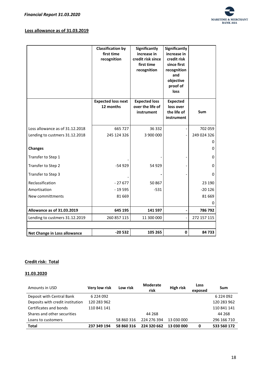

#### **Loss allowance as of 31.03.2019**

|                                 | <b>Classification by</b><br>first time<br>recognition | <b>Significantly</b><br>increase in<br>credit risk since<br>first time<br>recognition | <b>Significantly</b><br>increase in<br>credit risk<br>since first<br>recognition<br>and<br>objective<br>proof of<br><b>loss</b> |             |
|---------------------------------|-------------------------------------------------------|---------------------------------------------------------------------------------------|---------------------------------------------------------------------------------------------------------------------------------|-------------|
|                                 | <b>Expected loss next</b><br>12 months                | <b>Expected loss</b><br>over the life of<br>instrument                                | <b>Expected</b><br>loss over<br>the life of<br>instrument                                                                       | Sum         |
| Loss allowance as of 31.12.2018 | 665 727                                               | 36 332                                                                                |                                                                                                                                 | 702 059     |
| Lending to custmers 31.12.2018  | 245 124 326                                           | 3 900 000                                                                             |                                                                                                                                 | 249 024 326 |
| <b>Changes</b>                  |                                                       |                                                                                       |                                                                                                                                 | 0<br>0      |
| Transfer to Step 1              |                                                       |                                                                                       |                                                                                                                                 | 0           |
| Transfer to Step 2              | $-54929$                                              | 54 929                                                                                |                                                                                                                                 | 0           |
| Transfer to Step 3              |                                                       |                                                                                       |                                                                                                                                 | $\Omega$    |
| Reclassification                | $-27677$                                              | 50 867                                                                                |                                                                                                                                 | 23 190      |
| Amortisation                    | $-19595$                                              | $-531$                                                                                |                                                                                                                                 | $-20126$    |
| New committments                | 81 669                                                |                                                                                       |                                                                                                                                 | 81 669      |
|                                 |                                                       |                                                                                       |                                                                                                                                 | 0           |
| Allowance as of 31.03.2019      | 645 195                                               | 141 597                                                                               |                                                                                                                                 | 786 792     |
| Lending to custmers 31.12.2019  | 260 857 115                                           | 11 300 000                                                                            |                                                                                                                                 | 272 157 115 |
| Net Change in Loss allowance    | $-20532$                                              | 105 265                                                                               | 0                                                                                                                               | 84 733      |

#### **Credit risk: Total**

## **31.03.2020**

| Amounts in USD                   | <b>Very low risk</b> | Low risk   | <b>Moderate</b><br>risk | <b>High risk</b> | Loss<br>exposed | Sum           |
|----------------------------------|----------------------|------------|-------------------------|------------------|-----------------|---------------|
| Deposit with Central Bank        | 6 224 092            |            |                         |                  |                 | 6 2 2 4 0 9 2 |
| Deposits with credit institution | 120 283 962          |            |                         |                  |                 | 120 283 962   |
| Certificates and bonds           | 110 841 141          |            |                         |                  |                 | 110 841 141   |
| Shares and other securities      |                      |            | 44 268                  |                  |                 | 44 268        |
| Loans to customers               |                      | 58 860 316 | 224 276 394             | 13 030 000       |                 | 296 166 710   |
| <b>Total</b>                     | 237 349 194          | 58 860 316 | 224 320 662             | 13 030 000       | 0               | 533 560 172   |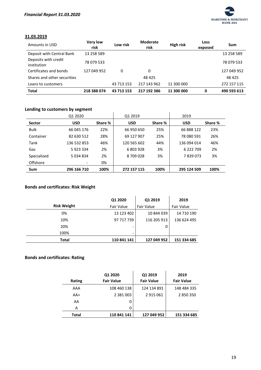

#### **31.03.2019**

| Amounts in USD                      | <b>Very low</b><br>risk | Low risk   | <b>Moderate</b><br>risk | High risk  | Loss<br>exposed | Sum         |
|-------------------------------------|-------------------------|------------|-------------------------|------------|-----------------|-------------|
| Deposit with Central Bank           | 13 258 589              |            |                         |            |                 | 13 258 589  |
| Deposits with credit<br>institution | 78 079 533              |            |                         |            |                 | 78 079 533  |
| Certificates and bonds              | 127 049 952             | 0          | 0                       |            |                 | 127 049 952 |
| Shares and other securities         |                         |            | 48 425                  |            |                 | 48 4 25     |
| Loans to customers                  |                         | 43 713 153 | 217 143 962             | 11 300 000 |                 | 272 157 115 |
| <b>Total</b>                        | 218 388 074             | 43 713 153 | 217 192 386             | 11 300 000 | 0               | 490 593 613 |

#### **Lending to customers by segment**

|               | Q1 2020     |         | Q1 2019     |         | 2019        |         |
|---------------|-------------|---------|-------------|---------|-------------|---------|
| <b>Sector</b> | <b>USD</b>  | Share % | <b>USD</b>  | Share % | <b>USD</b>  | Share % |
| <b>Bulk</b>   | 66 045 176  | 22%     | 66 950 650  | 25%     | 66 888 122  | 23%     |
| Container     | 82 630 512  | 28%     | 69 127 907  | 25%     | 78 080 591  | 26%     |
| Tank          | 136 532 853 | 46%     | 120 565 602 | 44%     | 136 094 014 | 46%     |
| Gas           | 5923334     | 2%      | 6 803 928   | 3%      | 6 222 709   | 2%      |
| Specialized   | 5 0 34 8 34 | 2%      | 8709028     | 3%      | 7839073     | 3%      |
| Offshore      |             | 0%      |             |         |             |         |
| <b>Sum</b>    | 296 166 710 | 100%    | 272 157 115 | 100%    | 295 124 509 | 100%    |

## **Bonds and certificates: Risk Weight**

|                    | Q1 2020     | Q1 2019           | 2019        |
|--------------------|-------------|-------------------|-------------|
| <b>Risk Weight</b> | Fair Value  | <b>Fair Value</b> | Fair Value  |
| 0%                 | 13 123 402  | 10 844 039        | 14 710 190  |
| 10%                | 97 717 739  | 116 205 913       | 136 624 495 |
| 20%                |             | 0                 |             |
| 100%               |             |                   |             |
| Total              | 110 841 141 | 127 049 952       | 151 334 685 |

## **Bonds and certificates: Rating**

|              | Q1 2020           | Q1 2019           | 2019              |
|--------------|-------------------|-------------------|-------------------|
| Rating       | <b>Fair Value</b> | <b>Fair Value</b> | <b>Fair Value</b> |
| AAA          | 108 460 138       | 124 134 891       | 148 484 335       |
| $AA+$        | 2 3 8 1 0 0 3     | 2915061           | 2850350           |
| AA           | 0                 |                   |                   |
| А            | 0                 |                   |                   |
| <b>Total</b> | 110 841 141       | 127 049 952       | 151 334 685       |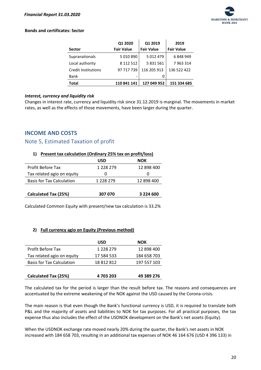

#### **Bonds and certificates: Sector**

| <b>Sector</b>              | Q1 2020<br><b>Fair Value</b> | Q1 2019<br><b>Fair Value</b> | 2019<br><b>Fair Value</b> |
|----------------------------|------------------------------|------------------------------|---------------------------|
| Supranationals             | 5 010 890                    | 5 012 479                    | 6848949                   |
| Local authority            | 8 1 1 2 5 1 2                | 5 831 561                    | 7963314                   |
| <b>Credit Institutions</b> | 97 717 739                   | 116 205 913                  | 136 522 422               |
| Bank                       |                              |                              |                           |
| Total                      | 110 841 141                  | 127 049 952                  | 151 334 685               |

#### <span id="page-20-0"></span>*Interest, currency and liquidity risk*

Changes in interest rate, currency and liquidity risk since 31.12.2019 is marginal. The movements in market rates, as well as the effects of those movements, have been larger during the quarter.

## <span id="page-20-1"></span>**INCOME AND COSTS**

## <span id="page-20-2"></span>Note 5, Estimated Taxation of profit

#### **1) Present tax calculation (Ordinary 25% tax on profit/loss)**

|                                  | <b>USD</b>    | <b>NOK</b> |
|----------------------------------|---------------|------------|
| Profit Before Tax                | 1 228 279     | 12 898 400 |
| Tax related agio on equity       | O             |            |
| <b>Basis for Tax Calculation</b> | 1 2 2 2 2 7 9 | 12 898 400 |
| <b>Calculated Tax (25%)</b>      | 307 070       | 3 224 600  |

Calculated Common Equity with present/new tax calculation is 33.2%

#### **2) Full currency agio on Equity (Previous method)**

|                                  | <b>USD</b> | NOK         |
|----------------------------------|------------|-------------|
| Profit Before Tax                | 1 228 279  | 12 898 400  |
| Tax related agio on equity       | 17 584 533 | 184 658 703 |
| <b>Basis for Tax Calculation</b> | 18 812 812 | 197 557 103 |
|                                  |            |             |
| <b>Calculated Tax (25%)</b>      | 4 703 203  | 49 389 276  |

The calculated tax for the period is larger than the result before tax. The reasons and consequences are accentuated by the extreme weakening of the NOK against the USD caused by the Corona-crisis.

The main reason is that even though the Bank's functional currency is USD, it is required to translate both P&L and the majority of assets and liabilities to NOK for tax purposes. For all practical purposes, the tax expense thus also includes the effect of the USDNOK development on the Bank's net assets (Equity).

When the USDNOK exchange rate moved nearly 20% during the quarter, the Bank's net assets in NOK increased with 184 658 703, resulting in an additional tax expenses of NOK 46 164 676 (USD 4 396 133) in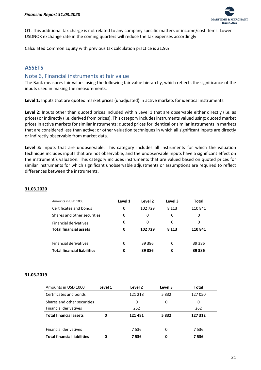

Q1. This additional tax charge is not related to any company specific matters or income/cost items. Lower USDNOK exchange rate in the coming quarters will reduce the tax expenses accordingly

Calculated Common Equity with previous tax calculation practice is 31.9%

# <span id="page-21-0"></span>**ASSETS**

## <span id="page-21-1"></span>Note 6, Financial instruments at fair value

The Bank measures fair values using the following fair value hierarchy, which reflects the significance of the inputs used in making the measurements.

**Level 1:** Inputs that are quoted market prices (unadjusted) in active markets for identical instruments.

**Level 2**: Inputs other than quoted prices included within Level 1 that are observable either directly (i.e. as prices) or indirectly (i.e. derived from prices). This category includes instruments valued using: quoted market prices in active markets for similar instruments; quoted prices for identical or similar instruments in markets that are considered less than active; or other valuation techniques in which all significant inputs are directly or indirectly observable from market data.

**Level 3:** Inputs that are unobservable. This category includes all instruments for which the valuation technique includes inputs that are not observable, and the unobservable inputs have a significant effect on the instrument's valuation. This category includes instruments that are valued based on quoted prices for similar instruments for which significant unobservable adjustments or assumptions are required to reflect differences between the instruments.

| Amounts in USD 1000                | Level 1 | Level 2 | Level 3 | Total  |
|------------------------------------|---------|---------|---------|--------|
| Certificates and bonds             | 0       | 102 729 | 8 1 1 3 | 110841 |
| Shares and other securities        | 0       | 0       | 0       | 0      |
| <b>Financial derivatives</b>       | 0       | 0       | 0       | 0      |
| <b>Total financial assets</b>      | 0       | 102729  | 8 1 1 3 | 110841 |
|                                    |         |         |         |        |
| <b>Financial derivatives</b>       | 0       | 39 386  | 0       | 39 386 |
| <b>Total financial liabilities</b> | 0       | 39 386  | 0       | 39 386 |

#### **31.03.2020**

#### **31.03.2019**

| Amounts in USD 1000                | Level 1 | Level 2 | Level 3 | Total   |
|------------------------------------|---------|---------|---------|---------|
| Certificates and bonds             |         | 121 218 | 5832    | 127050  |
| Shares and other securities        |         | 0       | 0       | 0       |
| <b>Financial derivatives</b>       |         | 262     |         | 262     |
| <b>Total financial assets</b>      | 0       | 121481  | 5832    | 127 312 |
|                                    |         |         |         |         |
| Financial derivatives              |         | 7536    | 0       | 7536    |
| <b>Total financial liabilities</b> | 0       | 7536    | 0       | 7 536   |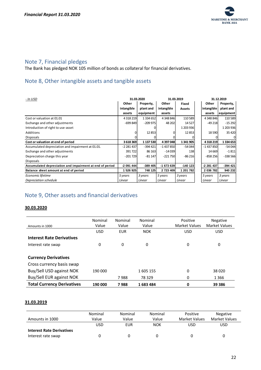

# <span id="page-22-0"></span>Note 7, Financial pledges

The Bank has pledged NOK 105 million of bonds as collateral for financial derivatives.

# <span id="page-22-1"></span>Note 8, Other intangible assets and tangible assets

| - In USD                                                 | 31.03.2020  |               | 31.03.2019 |               | 31.12.2019 |               |
|----------------------------------------------------------|-------------|---------------|------------|---------------|------------|---------------|
|                                                          | Other       | Property,     | Other      | Fixed         | Other      | Property,     |
|                                                          | intangible  | plant and     | intangible | <b>Assets</b> | intangible | plant and     |
|                                                          | assets      | equipment     | assets     |               | assets     | equipment     |
| Cost or valuation at 01.01                               | 4 3 18 2 19 | 1 3 3 4 6 5 2 | 4 348 846  | 110 589       | 4 348 846  | 110589        |
| Exchange and other adjustments                           | $-699849$   | $-209975$     | 48 202     | 14 5 27       | $-49218$   | $-15292$      |
| Introduction of right to use-asset                       |             |               |            | 1 203 936     |            | 1 203 936     |
| Additions                                                |             | 12853         |            | 12853         | 18 5 90    | 35 4 20       |
| <b>Disposals</b>                                         |             |               |            |               |            | $\Omega$      |
| Cost or valuation at end of period                       | 3618369     | 1 137 530     | 4 397 048  | 1 341 905     | 4318219    | 1 3 3 4 6 5 3 |
| Accumulated depreciation and impairment at 01.01.        | -2 281 437  | $-394421$     | $-1437850$ | $-54044$      | $-1437850$ | $-54044$      |
| Exchange and other adjustments                           | 391722      | 86 163        | $-14039$   | <b>138</b>    | 14 6 69    | $-1811$       |
| Depreciation charge this year                            | $-201729$   | $-81147$      | $-221750$  | $-86216$      | $-858256$  | $-338566$     |
| <b>Disposals</b>                                         |             |               |            |               |            |               |
| Accumulated depreciation and impairment at end of period | $-2091444$  | $-389405$     | -1 673 639 | $-140$ 123    | -2 281 437 | $-394$ 421    |
| Balance sheet amount at end of period                    | 1 526 925   | 748 125       | 2 723 409  | 1 201 782     | 2 036 782  | 940 232       |
| Economic lifetime                                        | 5 years     | 3 years       | 5 years    | 3 years       | 5 years    | 3 years       |
| Depreciation schedule                                    | Linear      | Linear        | Linear     | Linear        | Linear     | Linear        |

# <span id="page-22-2"></span>Note 9, Other assets and financial derivatives

#### **30.03.2020**

| Amounts in 1000                   | Nominal<br>Value | Nominal<br>Value | Nominal<br>Value | Positive<br><b>Market Values</b> | <b>Negative</b><br><b>Market Values</b> |
|-----------------------------------|------------------|------------------|------------------|----------------------------------|-----------------------------------------|
|                                   | <b>USD</b>       | <b>EUR</b>       | <b>NOK</b>       | <b>USD</b>                       | <b>USD</b>                              |
| <b>Interest Rate Derivatives</b>  |                  |                  |                  |                                  |                                         |
| Interest rate swap                | 0                | 0                | 0                | 0                                | 0                                       |
|                                   |                  |                  |                  |                                  |                                         |
| <b>Currency Derivatives</b>       |                  |                  |                  |                                  |                                         |
| Cross currency basis swap         |                  |                  |                  |                                  |                                         |
| Buy/Sell USD against NOK          | 190 000          |                  | 1605 155         | 0                                | 38 0 20                                 |
| Buy/Sell EUR against NOK          |                  | 7988             | 78 3 29          | 0                                | 1366                                    |
| <b>Total Currency Derivatives</b> | 190 000          | 7988             | 1683484          | 0                                | 39 386                                  |

#### **31.03.2019**

| Amounts in 1000                  | Nominal<br>Value | Nominal<br>Value | Nominal<br>Value | Positive<br><b>Market Values</b> | Negative<br><b>Market Values</b> |
|----------------------------------|------------------|------------------|------------------|----------------------------------|----------------------------------|
|                                  | USD              | <b>EUR</b>       | NOK              | JSD                              | USD                              |
| <b>Interest Rate Derivatives</b> |                  |                  |                  |                                  |                                  |
| Interest rate swap               |                  |                  |                  |                                  |                                  |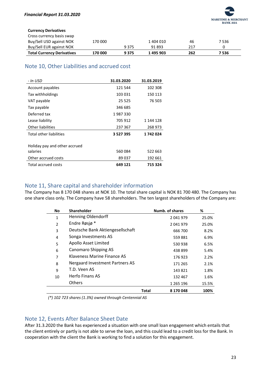

#### **Currency Derivatives**

| Cross currency basis swap         |         |         |           |     |       |
|-----------------------------------|---------|---------|-----------|-----|-------|
| Buy/Sell USD against NOK          | 170 000 |         | 1 404 010 | 46  | 7 536 |
| Buy/Sell EUR against NOK          |         | 9 3 7 5 | 91893     | 217 |       |
| <b>Total Currency Derivatives</b> | 170 000 | 9 3 7 5 | 1 495 903 | 262 | 7536  |

# <span id="page-23-0"></span>Note 10, Other Liabilities and accrued cost

| - In USD                       | 31.03.2020    | 31.03.2019 |
|--------------------------------|---------------|------------|
| Account payables               | 121 544       | 102 308    |
| Tax withholdings               | 103 031       | 150 113    |
| VAT payable                    | 25 5 25       | 76 503     |
| Tax payable                    | 346 685       |            |
| Deferred tax                   | 1987330       |            |
| Lease liability                | 705 912       | 1 144 128  |
| Other liabilities              | 237 367       | 268 973    |
| <b>Total other liabilities</b> | 3 5 2 7 3 9 5 | 1742024    |
| Holiday pay and other accrued  |               |            |
| salaries                       | 560084        | 522 663    |
| Other accrued costs            | 89037         | 192 661    |
| Total accrued costs            | 649 121       | 715 324    |

# <span id="page-23-1"></span>Note 11, Share capital and shareholder information

The Company has 8 170 048 shares at NOK 10. The total share capital is NOK 81 700 480. The Company has one share class only. The Company have 58 shareholders. The ten largest shareholders of the Company are:

| <b>No</b>      | <b>Shareholder</b>               |       | Numb. of shares | %     |
|----------------|----------------------------------|-------|-----------------|-------|
| $\mathbf{1}$   | <b>Henning Oldendorff</b>        |       | 2041979         | 25.0% |
| $\overline{2}$ | Endre Røsjø*                     |       | 2041979         | 25.0% |
| 3              | Deutsche Bank Aktiengesellschaft |       | 666 700         | 8.2%  |
| 4              | Songa Investments AS             |       | 559881          | 6.9%  |
| 5              | Apollo Asset Limited             |       | 530938          | 6.5%  |
| 6              | <b>Canomaro Shipping AS</b>      |       | 438 899         | 5.4%  |
| $\overline{7}$ | Klaveness Marine Finance AS      |       | 176923          | 2.2%  |
| 8              | Nergaard Investment Partners AS  |       | 171 265         | 2.1%  |
| 9              | T.D. Veen AS                     |       | 143821          | 1.8%  |
| 10             | Herfo Finans AS                  |       | 132 467         | 1.6%  |
|                | <b>Others</b>                    |       | 1 2 6 5 1 9 6   | 15.5% |
|                |                                  | Total | 8 170 048       | 100%  |

*(\*) 102 723 shares (1.3%) owned through Centennial AS*

# <span id="page-23-2"></span>Note 12, Events After Balance Sheet Date

After 31.3.2020 the Bank has experienced a situation with one small loan engagement which entails that the client entirely or partly is not able to serve the loan, and this could lead to a credit loss for the Bank. In cooperation with the client the Bank is working to find a solution for this engagement.